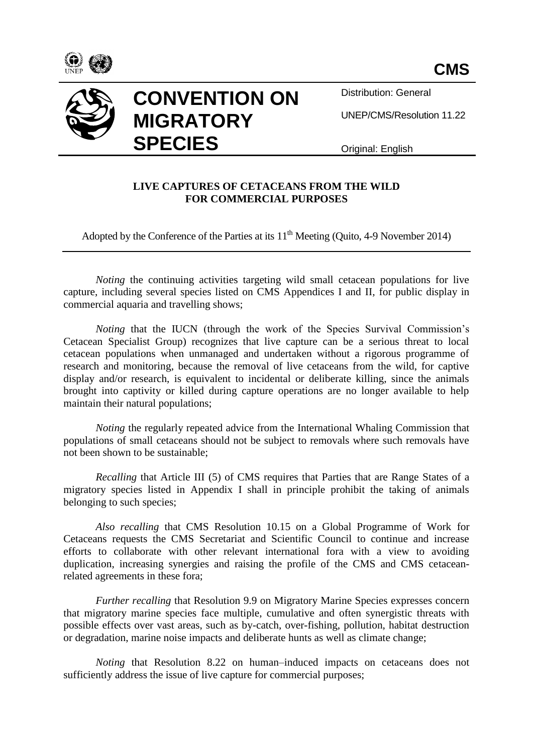



## **CONVENTION ON MIGRATORY SPECIES**

Distribution: General

UNEP/CMS/Resolution 11.22

Original: English

## **LIVE CAPTURES OF CETACEANS FROM THE WILD FOR COMMERCIAL PURPOSES**

Adopted by the Conference of the Parties at its  $11<sup>th</sup>$  Meeting (Quito, 4-9 November 2014)

*Noting* the continuing activities targeting wild small cetacean populations for live capture, including several species listed on CMS Appendices I and II*,* for public display in commercial aquaria and travelling shows;

*Noting* that the IUCN (through the work of the Species Survival Commission's Cetacean Specialist Group) recognizes that live capture can be a serious threat to local cetacean populations when unmanaged and undertaken without a rigorous programme of research and monitoring, because the removal of live cetaceans from the wild, for captive display and/or research, is equivalent to incidental or deliberate killing, since the animals brought into captivity or killed during capture operations are no longer available to help maintain their natural populations;

*Noting* the regularly repeated advice from the International Whaling Commission that populations of small cetaceans should not be subject to removals where such removals have not been shown to be sustainable;

*Recalling that Article III* (5) of CMS requires that Parties that are Range States of a migratory species listed in Appendix I shall in principle prohibit the taking of animals belonging to such species;

*Also recalling* that CMS Resolution 10.15 on a Global Programme of Work for Cetaceans requests the CMS Secretariat and Scientific Council to continue and increase efforts to collaborate with other relevant international fora with a view to avoiding duplication, increasing synergies and raising the profile of the CMS and CMS cetaceanrelated agreements in these fora;

*Further recalling* that Resolution 9.9 on Migratory Marine Species expresses concern that migratory marine species face multiple, cumulative and often synergistic threats with possible effects over vast areas, such as by-catch, over-fishing, pollution, habitat destruction or degradation, marine noise impacts and deliberate hunts as well as climate change;

*Noting* that Resolution 8.22 on human–induced impacts on cetaceans does not sufficiently address the issue of live capture for commercial purposes;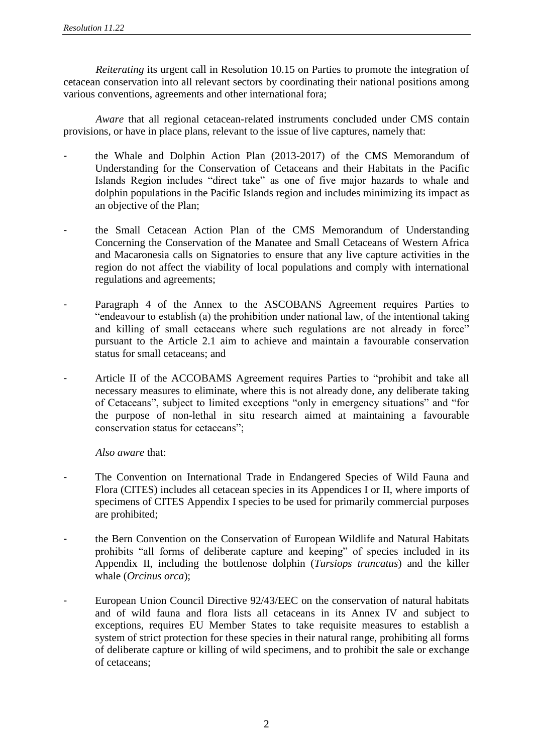*Reiterating* its urgent call in Resolution 10.15 on Parties to promote the integration of cetacean conservation into all relevant sectors by coordinating their national positions among various conventions, agreements and other international fora;

*Aware* that all regional cetacean-related instruments concluded under CMS contain provisions, or have in place plans, relevant to the issue of live captures, namely that:

- the Whale and Dolphin Action Plan (2013-2017) of the CMS Memorandum of Understanding for the Conservation of Cetaceans and their Habitats in the Pacific Islands Region includes "direct take" as one of five major hazards to whale and dolphin populations in the Pacific Islands region and includes minimizing its impact as an objective of the Plan;
- the Small Cetacean Action Plan of the CMS Memorandum of Understanding Concerning the Conservation of the Manatee and Small Cetaceans of Western Africa and Macaronesia calls on Signatories to ensure that any live capture activities in the region do not affect the viability of local populations and comply with international regulations and agreements;
- Paragraph 4 of the Annex to the ASCOBANS Agreement requires Parties to "endeavour to establish (a) the prohibition under national law, of the intentional taking and killing of small cetaceans where such regulations are not already in force" pursuant to the Article 2.1 aim to achieve and maintain a favourable conservation status for small cetaceans; and
- Article II of the ACCOBAMS Agreement requires Parties to "prohibit and take all necessary measures to eliminate, where this is not already done, any deliberate taking of Cetaceans", subject to limited exceptions "only in emergency situations" and "for the purpose of non-lethal in situ research aimed at maintaining a favourable conservation status for cetaceans";

## *Also aware* that:

- The Convention on International Trade in Endangered Species of Wild Fauna and Flora (CITES) includes all cetacean species in its Appendices I or II, where imports of specimens of CITES Appendix I species to be used for primarily commercial purposes are prohibited;
- the Bern Convention on the Conservation of European Wildlife and Natural Habitats prohibits "all forms of deliberate capture and keeping" of species included in its Appendix II, including the bottlenose dolphin (*Tursiops truncatus*) and the killer whale (*Orcinus orca*);
- European Union Council Directive 92/43/EEC on the conservation of natural habitats and of wild fauna and flora lists all cetaceans in its Annex IV and subject to exceptions, requires EU Member States to take requisite measures to establish a system of strict protection for these species in their natural range, prohibiting all forms of deliberate capture or killing of wild specimens, and to prohibit the sale or exchange of cetaceans;